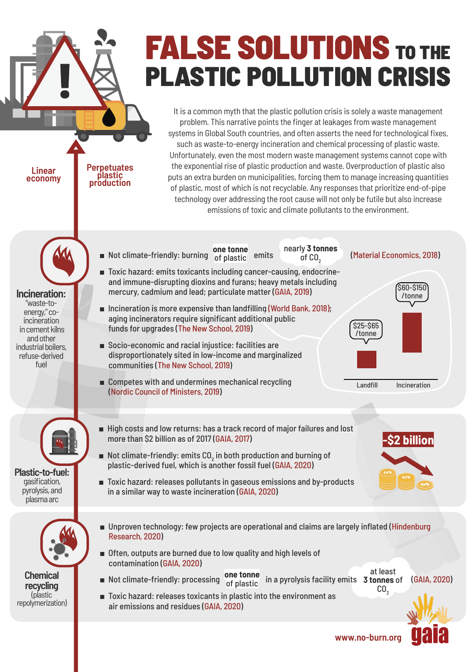## **FALSE SOLUTIONS** TO THE **PLASTIC POLLUTION CRISIS**

It is a common myth that the plastic pollution crisis is solely a waste management problem. This narrative points the finger at leakages from waste management systems in Global South countries, and often asserts the need for technological fixes, such as waste-to-energy incineration and chemical processing of plastic waste. Unfortunately, even the most modern waste management systems cannot cope with the exponential rise of plastic production and waste. Overproduction of plastic also puts an extra burden on municipalities, forcing them to manage increasing quantities of plastic, most of which is not recyclable. Any responses that prioritize end-of-pipe technology over addressing the root cause will not only be futile but also increase emissions of toxic and climate pollutants to the environment.

> nearly **3 tonnes**  $o<sub>f</sub>$  CO<sub>2</sub>

**one tonne**

■ Toxic hazard: emits toxicants including cancer-causing, endocrineand immune-disrupting dioxins and furans; heavy metals including

mercury, cadmium and lead; particulate matter([GAIA,](https://www.no-burn.org/fact-sheet-incineration-and-health/) [2019\)](https://www.no-burn.org/fact-sheet-incineration-and-health/)

aging incinerators require significant additional public

disproportionately sited in low-income and marginalized

funds for upgrades([The New School, 2019](https://www.no-burn.org/failingincineratorsreport/))

more than \$2 billion as of 2017 ([GAIA, 2017](https://www.no-burn.org/gasification-pyrolysis-risk-analysis/))

communities [\(The New School, 2019](https://www.no-burn.org/failingincineratorsreport/))

([Nordic Council of Ministers, 2019\)](http://norden.diva-portal.org/smash/get/diva2:1304371/FULLTEXT01.pdf)

■ Socio-economic and racial injustice: facilities are

■ Competes with and undermines mechanical recycling

■ Incineration is more expensive than landfilling [\(World Bank, 2018\)](https://openknowledge.worldbank.org/handle/10986/31694);

■Not climate-friendly: burning of plastic emits of CO<sub>q</sub> ([Material Economics, 2018\)](https://materialeconomics.com/publications/the-circular-economy-a-powerful-force-for-climate-mitigation-1)

**Incineration:** "waste-toenergy,"coincineration in cement kilns and other industrial boilers. refuse-derived fuel

**Linear economy** **Perpetuates plastic production**



gasification, pyrolysis,and plasmaarc



**Chemical recycling** (plastic repolymerization)

## ■ Unproven technology: few projects are operational and claims are largely inflated [\(Hindenburg](https://hindenburgresearch.com/loop/) [Research, 2020](https://hindenburgresearch.com/loop/))

■ Often, outputs are burned due to low quality and high levels of contamination ([GAIA, 2020](https://www.no-burn.org/cr-technical-assessment/))

plastic-derived fuel, which is another fossil fuel([GAIA, 2020](https://www.no-burn.org/cr-technical-assessment/))

in a similar way to waste incineration [\(GAIA, 2020\)](https://www.no-burn.org/cr-technical-assessment/)

- at least **3 tonnes** of  $CO<sub>2</sub>$ **one tonne** ■Not climate-friendly: processing of plastic in a pyrolysis facility emits 3 tonnes of ([GAIA, 2020](https://www.no-burn.org/chemical-recycling-us/))
- Toxic hazard: releases toxicants in plastic into the environment as air emissions and residues ([GAIA, 2020](https://www.no-burn.org/cr-technical-assessment/))

Landfill Incineration

**-\$2 billion**

\$60-\$150 /tonne

\$25-\$65 /tonne

**www.no-burn.org**